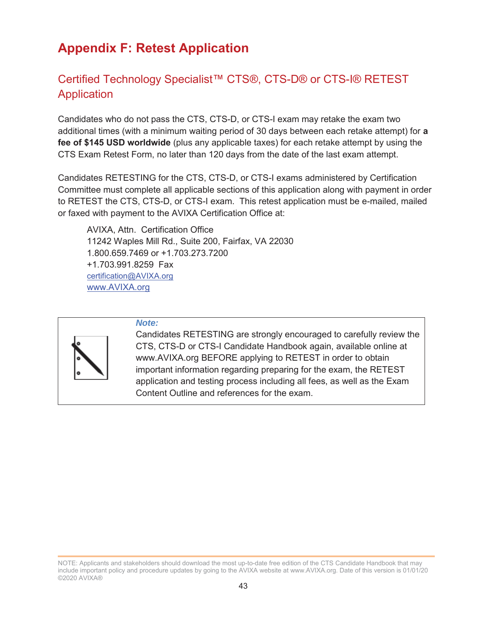# **Appendix F: Retest Application**

## Certified Technology Specialist™ CTS®, CTS-D® or CTS-I® RETEST Application

Candidates who do not pass the CTS, CTS-D, or CTS-I exam may retake the exam two additional times (with a minimum waiting period of 30 days between each retake attempt) for **a fee of \$145 USD worldwide** (plus any applicable taxes) for each retake attempt by using the CTS Exam Retest Form, no later than 120 days from the date of the last exam attempt.

Candidates RETESTING for the CTS, CTS-D, or CTS-I exams administered by Certification Committee must complete all applicable sections of this application along with payment in order to RETEST the CTS, CTS-D, or CTS-I exam. This retest application must be e-mailed, mailed or faxed with payment to the AVIXA Certification Office at:

AVIXA, Attn. Certification Office 11242 Waples Mill Rd., Suite 200, Fairfax, VA 22030 1.800.659.7469 or +1.703.273.7200 +1.703.991.8259 Fax certification@AVIXA.org www.AVIXA.org



#### *Note:*

Candidates RETESTING are strongly encouraged to carefully review the CTS, CTS-D or CTS-I Candidate Handbook again, available online at www.AVIXA.org BEFORE applying to RETEST in order to obtain important information regarding preparing for the exam, the RETEST application and testing process including all fees, as well as the Exam Content Outline and references for the exam.

NOTE: Applicants and stakeholders should download the most up-to-date free edition of the CTS Candidate Handbook that may include important policy and procedure updates by going to the AVIXA website at www.AVIXA.org. Date of this version is 01/01/20 ©2020 AVIXA®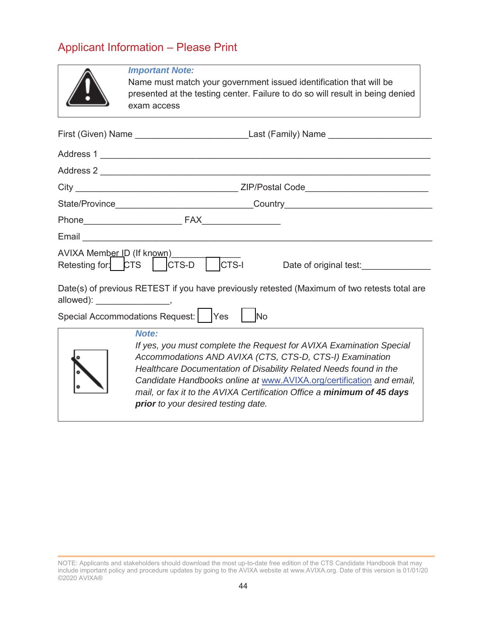# Applicant Information – Please Print

|                                 | <b>Important Note:</b><br>Name must match your government issued identification that will be<br>presented at the testing center. Failure to do so will result in being denied<br>exam access                                                                                                                                                                                                           |  |  |
|---------------------------------|--------------------------------------------------------------------------------------------------------------------------------------------------------------------------------------------------------------------------------------------------------------------------------------------------------------------------------------------------------------------------------------------------------|--|--|
|                                 |                                                                                                                                                                                                                                                                                                                                                                                                        |  |  |
|                                 | Address 1                                                                                                                                                                                                                                                                                                                                                                                              |  |  |
|                                 | Address 2                                                                                                                                                                                                                                                                                                                                                                                              |  |  |
|                                 |                                                                                                                                                                                                                                                                                                                                                                                                        |  |  |
|                                 |                                                                                                                                                                                                                                                                                                                                                                                                        |  |  |
|                                 |                                                                                                                                                                                                                                                                                                                                                                                                        |  |  |
|                                 |                                                                                                                                                                                                                                                                                                                                                                                                        |  |  |
|                                 | AVIXA Member ID (If known)<br>Retesting for: CTS   CTS-D   CTS-I<br>Date of original test:_______________                                                                                                                                                                                                                                                                                              |  |  |
| allowed): ____________________, | Date(s) of previous RETEST if you have previously retested (Maximum of two retests total are                                                                                                                                                                                                                                                                                                           |  |  |
|                                 | Special Accommodations Request:   Yes  <br>No                                                                                                                                                                                                                                                                                                                                                          |  |  |
|                                 | Note:<br>If yes, you must complete the Request for AVIXA Examination Special<br>Accommodations AND AVIXA (CTS, CTS-D, CTS-I) Examination<br>Healthcare Documentation of Disability Related Needs found in the<br>Candidate Handbooks online at www.AVIXA.org/certification and email,<br>mail, or fax it to the AVIXA Certification Office a minimum of 45 days<br>prior to your desired testing date. |  |  |

NOTE: Applicants and stakeholders should download the most up-to-date free edition of the CTS Candidate Handbook that may include important policy and procedure updates by going to the AVIXA website at www.AVIXA.org. Date of this version is 01/01/20 ©2020 AVIXA®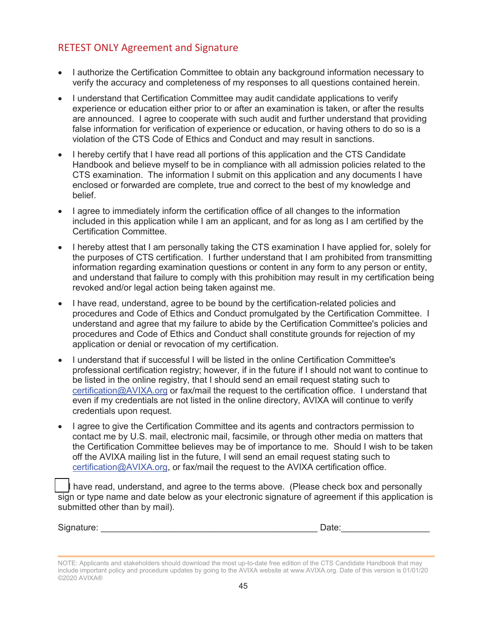### RETEST ONLY Agreement and Signature

- I authorize the Certification Committee to obtain any background information necessary to verify the accuracy and completeness of my responses to all questions contained herein.
- I understand that Certification Committee may audit candidate applications to verify experience or education either prior to or after an examination is taken, or after the results are announced. I agree to cooperate with such audit and further understand that providing false information for verification of experience or education, or having others to do so is a violation of the CTS Code of Ethics and Conduct and may result in sanctions.
- I hereby certify that I have read all portions of this application and the CTS Candidate Handbook and believe myself to be in compliance with all admission policies related to the CTS examination. The information I submit on this application and any documents I have enclosed or forwarded are complete, true and correct to the best of my knowledge and belief.
- I agree to immediately inform the certification office of all changes to the information included in this application while I am an applicant, and for as long as I am certified by the Certification Committee.
- I hereby attest that I am personally taking the CTS examination I have applied for, solely for the purposes of CTS certification. I further understand that I am prohibited from transmitting information regarding examination questions or content in any form to any person or entity, and understand that failure to comply with this prohibition may result in my certification being revoked and/or legal action being taken against me.
- I have read, understand, agree to be bound by the certification-related policies and procedures and Code of Ethics and Conduct promulgated by the Certification Committee. I understand and agree that my failure to abide by the Certification Committee's policies and procedures and Code of Ethics and Conduct shall constitute grounds for rejection of my application or denial or revocation of my certification.
- I understand that if successful I will be listed in the online Certification Committee's professional certification registry; however, if in the future if I should not want to continue to be listed in the online registry, that I should send an email request stating such to certification@AVIXA.org or fax/mail the request to the certification office. I understand that even if my credentials are not listed in the online directory, AVIXA will continue to verify credentials upon request.
- I agree to give the Certification Committee and its agents and contractors permission to contact me by U.S. mail, electronic mail, facsimile, or through other media on matters that the Certification Committee believes may be of importance to me. Should I wish to be taken off the AVIXA mailing list in the future, I will send an email request stating such to certification@AVIXA.org, or fax/mail the request to the AVIXA certification office.

I have read, understand, and agree to the terms above. (Please check box and personally sign or type name and date below as your electronic signature of agreement if this application is submitted other than by mail).

Signature: \_\_\_\_\_\_\_\_\_\_\_\_\_\_\_\_\_\_\_\_\_\_\_\_\_\_\_\_\_\_\_\_\_\_\_\_\_\_\_\_\_\_\_\_ Date:\_\_\_\_\_\_\_\_\_\_\_\_\_\_\_\_\_\_

NOTE: Applicants and stakeholders should download the most up-to-date free edition of the CTS Candidate Handbook that may include important policy and procedure updates by going to the AVIXA website at www.AVIXA.org. Date of this version is 01/01/20 ©2020 AVIXA®